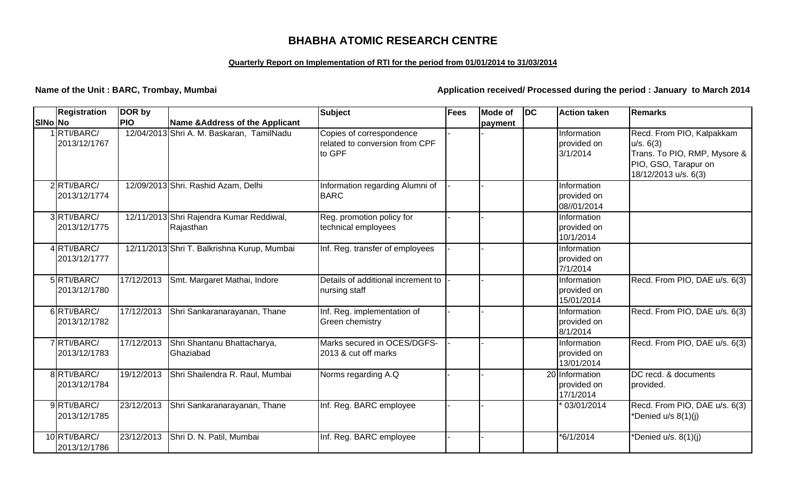## **BHABHA ATOMIC RESEARCH CENTRE**

## **Quarterly Report on Implementation of RTI for the period from 01/01/2014 to 31/03/2014**

**Name of the Unit : BARC, Trombay, Mumbai** *Application received/ Processed during the period : January to March 2014* 

|         | <b>Registration</b>          | DOR by     |                                                       | <b>Subject</b>                                                       | <b>Fees</b> | <b>Mode of</b> | DC | <b>Action taken</b>                        | <b>Remarks</b>                                                                                                         |
|---------|------------------------------|------------|-------------------------------------------------------|----------------------------------------------------------------------|-------------|----------------|----|--------------------------------------------|------------------------------------------------------------------------------------------------------------------------|
| SINo No |                              | <b>PIO</b> | <b>Name &amp;Address of the Applicant</b>             |                                                                      |             | payment        |    |                                            |                                                                                                                        |
|         | 1RTI/BARC/<br>2013/12/1767   |            | 12/04/2013 Shri A. M. Baskaran, TamilNadu             | Copies of correspondence<br>related to conversion from CPF<br>to GPF |             |                |    | Information<br>provided on<br>3/1/2014     | Recd. From PIO, Kalpakkam<br>u/s. 6(3)<br>Trans. To PIO, RMP, Mysore &<br>PIO, GSO, Tarapur on<br>18/12/2013 u/s. 6(3) |
|         | 2RTI/BARC/<br>2013/12/1774   |            | 12/09/2013 Shri. Rashid Azam, Delhi                   | Information regarding Alumni of<br><b>BARC</b>                       |             |                |    | Information<br>provided on<br>08//01/2014  |                                                                                                                        |
|         | 3RTI/BARC/<br>2013/12/1775   |            | 12/11/2013 Shri Rajendra Kumar Reddiwal,<br>Rajasthan | Reg. promotion policy for<br>technical employees                     |             |                |    | Information<br>provided on<br>10/1/2014    |                                                                                                                        |
|         | 4 RTI/BARC/<br>2013/12/1777  |            | 12/11/2013 Shri T. Balkrishna Kurup, Mumbai           | Inf. Reg. transfer of employees                                      |             |                |    | Information<br>provided on<br>7/1/2014     |                                                                                                                        |
|         | 5RTI/BARC/<br>2013/12/1780   | 17/12/2013 | Smt. Margaret Mathai, Indore                          | Details of additional increment to<br>nursing staff                  |             |                |    | Information<br>provided on<br>15/01/2014   | Recd. From PIO, DAE u/s. 6(3)                                                                                          |
|         | 6RTI/BARC/<br>2013/12/1782   | 17/12/2013 | Shri Sankaranarayanan, Thane                          | Inf. Reg. implementation of<br>Green chemistry                       |             |                |    | Information<br>provided on<br>8/1/2014     | Recd. From PIO, DAE u/s. 6(3)                                                                                          |
|         | 7RTI/BARC/<br>2013/12/1783   | 17/12/2013 | Shri Shantanu Bhattacharya,<br>Ghaziabad              | Marks secured in OCES/DGFS-<br>2013 & cut off marks                  |             |                |    | Information<br>provided on<br>13/01/2014   | Recd. From PIO, DAE u/s. 6(3)                                                                                          |
|         | 8RTI/BARC/<br>2013/12/1784   | 19/12/2013 | Shri Shailendra R. Raul, Mumbai                       | Norms regarding A.Q                                                  |             |                |    | 20 Information<br>provided on<br>17/1/2014 | DC recd. & documents<br>provided.                                                                                      |
|         | 9RTI/BARC/<br>2013/12/1785   | 23/12/2013 | Shri Sankaranarayanan, Thane                          | Inf. Reg. BARC employee                                              |             |                |    | 03/01/2014                                 | Recd. From PIO, DAE u/s. 6(3)<br>*Denied u/s 8(1)(j)                                                                   |
|         | 10 RTI/BARC/<br>2013/12/1786 | 23/12/2013 | Shri D. N. Patil, Mumbai                              | Inf. Reg. BARC employee                                              |             |                |    | *6/1/2014                                  | *Denied u/s. 8(1)(j)                                                                                                   |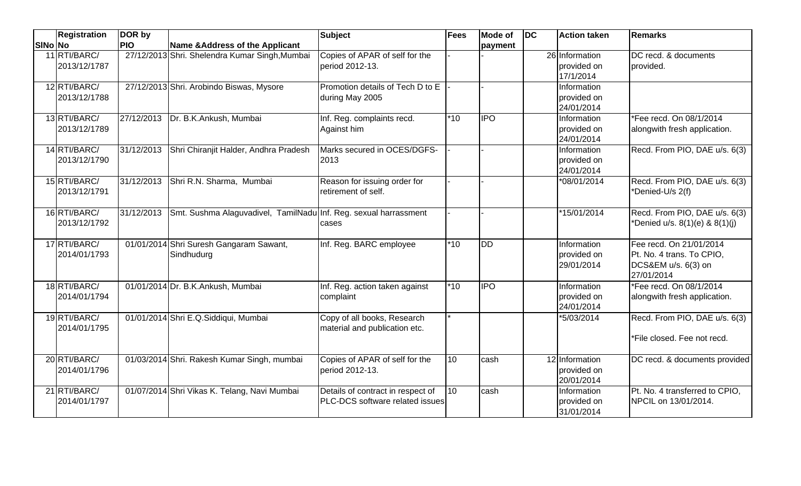|         | <b>Registration</b>          | DOR by     |                                                                             | <b>Subject</b>                                               | Fees  | Mode of     | $loc$ | <b>Action taken</b>           | <b>Remarks</b>                                   |
|---------|------------------------------|------------|-----------------------------------------------------------------------------|--------------------------------------------------------------|-------|-------------|-------|-------------------------------|--------------------------------------------------|
| SINo No |                              | <b>PIO</b> | Name & Address of the Applicant                                             |                                                              |       | payment     |       |                               |                                                  |
|         | 11 RTI/BARC/<br>2013/12/1787 |            | 27/12/2013 Shri. Shelendra Kumar Singh, Mumbai                              | Copies of APAR of self for the<br>period 2012-13.            |       |             |       | 26 Information<br>provided on | DC recd. & documents<br>provided.                |
|         |                              |            |                                                                             |                                                              |       |             |       | 17/1/2014                     |                                                  |
|         | 12 RTI/BARC/<br>2013/12/1788 |            | 27/12/2013 Shri. Arobindo Biswas, Mysore                                    | Promotion details of Tech D to E<br>during May 2005          |       |             |       | Information<br>provided on    |                                                  |
|         |                              |            |                                                                             |                                                              |       |             |       | 24/01/2014                    |                                                  |
|         | 13 RTI/BARC/                 | 27/12/2013 | Dr. B.K.Ankush, Mumbai                                                      | Inf. Reg. complaints recd.                                   | $*10$ | <b>IPO</b>  |       | Information                   | *Fee recd. On 08/1/2014                          |
|         | 2013/12/1789                 |            |                                                                             | Against him                                                  |       |             |       | provided on<br>24/01/2014     | alongwith fresh application.                     |
|         | 14 RTI/BARC/<br>2013/12/1790 | 31/12/2013 | Shri Chiranjit Halder, Andhra Pradesh                                       | Marks secured in OCES/DGFS-<br>2013                          |       |             |       | Information<br>provided on    | Recd. From PIO, DAE u/s. 6(3)                    |
|         |                              |            |                                                                             |                                                              |       |             |       | 24/01/2014                    |                                                  |
|         | 15 RTI/BARC/                 |            | 31/12/2013 Shri R.N. Sharma, Mumbai                                         | Reason for issuing order for                                 |       |             |       | *08/01/2014                   | Recd. From PIO, DAE u/s. 6(3)                    |
|         | 2013/12/1791                 |            |                                                                             | retirement of self.                                          |       |             |       |                               | *Denied-U/s 2(f)                                 |
|         | 16 RTI/BARC/                 |            | 31/12/2013 Smt. Sushma Alaguvadivel, TamilNadu Inf. Reg. sexual harrassment |                                                              |       |             |       | *15/01/2014                   | Recd. From PIO, DAE u/s. 6(3)                    |
|         | 2013/12/1792                 |            |                                                                             | cases                                                        |       |             |       |                               | *Denied u/s. 8(1)(e) & 8(1)(j)                   |
|         | 17 RTI/BARC/                 |            | 01/01/2014 Shri Suresh Gangaram Sawant,                                     | Inf. Reg. BARC employee                                      | $*10$ | <b>I</b> DD |       | Information                   | Fee recd. On 21/01/2014                          |
|         | 2014/01/1793                 |            | Sindhudurg                                                                  |                                                              |       |             |       | provided on<br>29/01/2014     | Pt. No. 4 trans. To CPIO,<br>DCS&EM u/s. 6(3) on |
|         |                              |            |                                                                             |                                                              |       |             |       |                               | 27/01/2014                                       |
|         | 18 RTI/BARC/                 |            | 01/01/2014 Dr. B.K.Ankush, Mumbai                                           | Inf. Reg. action taken against                               | $*10$ | <b>IPO</b>  |       | Information                   | *Fee recd. On 08/1/2014                          |
|         | 2014/01/1794                 |            |                                                                             | complaint                                                    |       |             |       | provided on<br>24/01/2014     | alongwith fresh application.                     |
|         | 19 RTI/BARC/<br>2014/01/1795 |            | 01/01/2014 Shri E.Q.Siddiqui, Mumbai                                        | Copy of all books, Research<br>material and publication etc. |       |             |       | *5/03/2014                    | Recd. From PIO, DAE u/s. 6(3)                    |
|         |                              |            |                                                                             |                                                              |       |             |       |                               | *File closed. Fee not recd.                      |
|         | 20 RTI/BARC/                 |            | 01/03/2014 Shri. Rakesh Kumar Singh, mumbai                                 | Copies of APAR of self for the                               | 10    | cash        |       | 12 Information                | DC recd. & documents provided                    |
|         | 2014/01/1796                 |            |                                                                             | period 2012-13.                                              |       |             |       | provided on<br>20/01/2014     |                                                  |
|         | 21 RTI/BARC/                 |            | 01/07/2014 Shri Vikas K. Telang, Navi Mumbai                                | Details of contract in respect of                            | 10    | cash        |       | Information                   | Pt. No. 4 transferred to CPIO,                   |
|         | 2014/01/1797                 |            |                                                                             | PLC-DCS software related issues                              |       |             |       | provided on<br>31/01/2014     | NPCIL on 13/01/2014.                             |
|         |                              |            |                                                                             |                                                              |       |             |       |                               |                                                  |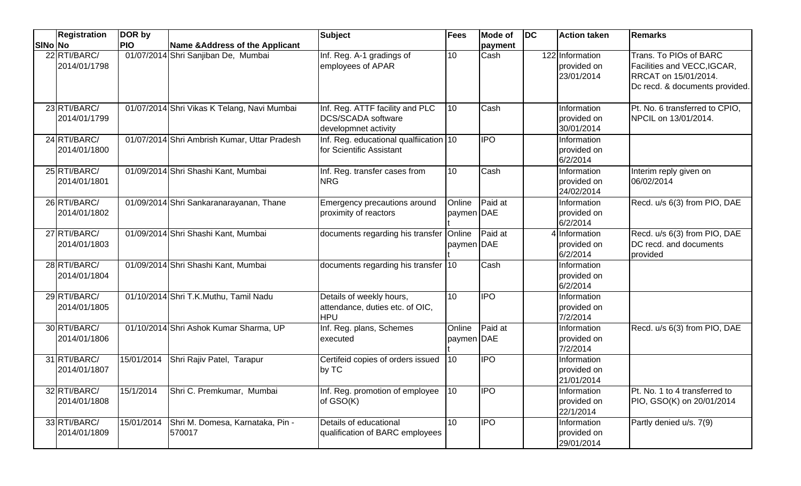|         | <b>Registration</b>          | DOR by     |                                                       | <b>Subject</b>                                                                       | <b>Fees</b>          | <b>Mode of</b> | $\overline{D}$ | <b>Action taken</b>                          | <b>Remarks</b>                                                                                                  |
|---------|------------------------------|------------|-------------------------------------------------------|--------------------------------------------------------------------------------------|----------------------|----------------|----------------|----------------------------------------------|-----------------------------------------------------------------------------------------------------------------|
| SINo No |                              | <b>PIO</b> | Name & Address of the Applicant                       |                                                                                      |                      | payment        |                |                                              |                                                                                                                 |
|         | 22 RTI/BARC/<br>2014/01/1798 |            | 01/07/2014 Shri Sanjiban De, Mumbai                   | Inf. Reg. A-1 gradings of<br>employees of APAR                                       | 10                   | Cash           |                | 122 Information<br>provided on<br>23/01/2014 | Trans. To PIOs of BARC<br>Facilities and VECC, IGCAR,<br>RRCAT on 15/01/2014.<br>Dc recd. & documents provided. |
|         | 23 RTI/BARC/<br>2014/01/1799 |            | 01/07/2014 Shri Vikas K Telang, Navi Mumbai           | Inf. Reg. ATTF facility and PLC<br><b>DCS/SCADA</b> software<br>developmnet activity | 10                   | Cash           |                | Information<br>provided on<br>30/01/2014     | Pt. No. 6 transferred to CPIO,<br>NPCIL on 13/01/2014.                                                          |
|         | 24 RTI/BARC/<br>2014/01/1800 |            | 01/07/2014 Shri Ambrish Kumar, Uttar Pradesh          | Inf. Reg. educational qualfiication 10<br>for Scientific Assistant                   |                      | <b>IPO</b>     |                | Information<br>provided on<br>6/2/2014       |                                                                                                                 |
|         | 25 RTI/BARC/<br>2014/01/1801 |            | 01/09/2014 Shri Shashi Kant, Mumbai                   | Inf. Reg. transfer cases from<br><b>NRG</b>                                          | 10                   | Cash           |                | Information<br>provided on<br>24/02/2014     | Interim reply given on<br>06/02/2014                                                                            |
|         | 26 RTI/BARC/<br>2014/01/1802 |            | 01/09/2014 Shri Sankaranarayanan, Thane               | Emergency precautions around<br>proximity of reactors                                | Online<br>paymen DAE | Paid at        |                | Information<br>provided on<br>6/2/2014       | Recd. u/s 6(3) from PIO, DAE                                                                                    |
|         | 27 RTI/BARC/<br>2014/01/1803 |            | 01/09/2014 Shri Shashi Kant, Mumbai                   | documents regarding his transfer Online                                              | paymen DAE           | Paid at        |                | 4 Information<br>provided on<br>6/2/2014     | Recd. u/s 6(3) from PIO, DAE<br>DC recd. and documents<br>provided                                              |
|         | 28 RTI/BARC/<br>2014/01/1804 |            | 01/09/2014 Shri Shashi Kant, Mumbai                   | documents regarding his transfer 10                                                  |                      | Cash           |                | Information<br>provided on<br>6/2/2014       |                                                                                                                 |
|         | 29 RTI/BARC/<br>2014/01/1805 |            | 01/10/2014 Shri T.K.Muthu, Tamil Nadu                 | Details of weekly hours,<br>attendance, duties etc. of OIC,<br><b>HPU</b>            | 10                   | <b>IPO</b>     |                | Information<br>provided on<br>7/2/2014       |                                                                                                                 |
|         | 30 RTI/BARC/<br>2014/01/1806 |            | 01/10/2014 Shri Ashok Kumar Sharma, UP                | Inf. Reg. plans, Schemes<br>executed                                                 | Online<br>paymen DAE | Paid at        |                | Information<br>provided on<br>7/2/2014       | Recd. u/s 6(3) from PIO, DAE                                                                                    |
|         | 31 RTI/BARC/<br>2014/01/1807 |            | 15/01/2014 Shri Rajiv Patel, Tarapur                  | Certifeid copies of orders issued<br>by TC                                           | 10                   | <b>IPO</b>     |                | Information<br>provided on<br>21/01/2014     |                                                                                                                 |
|         | 32 RTI/BARC/<br>2014/01/1808 | 15/1/2014  | Shri C. Premkumar, Mumbai                             | Inf. Reg. promotion of employee<br>of GSO(K)                                         | 10                   | <b>IPO</b>     |                | Information<br>provided on<br>22/1/2014      | Pt. No. 1 to 4 transferred to<br>PIO, GSO(K) on 20/01/2014                                                      |
|         | 33 RTI/BARC/<br>2014/01/1809 |            | 15/01/2014 Shri M. Domesa, Karnataka, Pin -<br>570017 | Details of educational<br>qualification of BARC employees                            | 10                   | <b>IPO</b>     |                | Information<br>provided on<br>29/01/2014     | Partly denied u/s. 7(9)                                                                                         |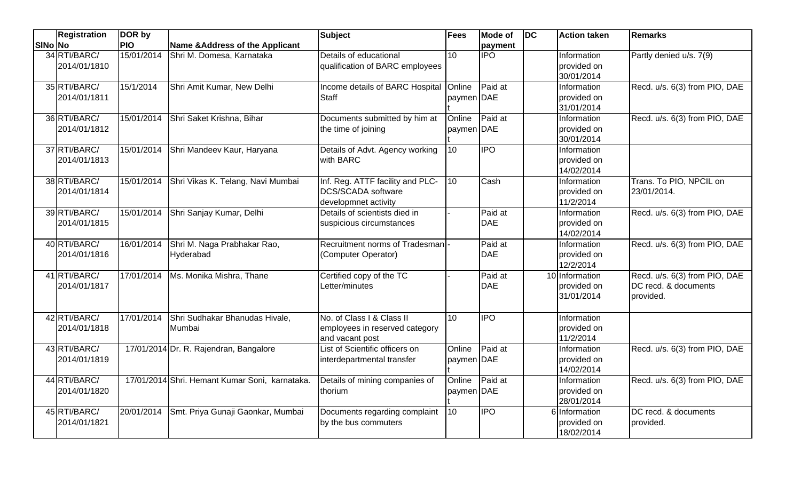|         | <b>Registration</b>          | DOR by     |                                                | <b>Subject</b>                                                                        | <b>Fees</b>          | <b>Mode of</b>        | <b>DC</b> | <b>Action taken</b>                            | <b>Remarks</b>                                                     |
|---------|------------------------------|------------|------------------------------------------------|---------------------------------------------------------------------------------------|----------------------|-----------------------|-----------|------------------------------------------------|--------------------------------------------------------------------|
| SINo No |                              | <b>PIO</b> | Name & Address of the Applicant                |                                                                                       |                      | payment               |           |                                                |                                                                    |
|         | 34 RTI/BARC/<br>2014/01/1810 | 15/01/2014 | Shri M. Domesa, Karnataka                      | Details of educational<br>qualification of BARC employees                             | 10                   | <b>IPO</b>            |           | Information<br>provided on<br>30/01/2014       | Partly denied u/s. 7(9)                                            |
|         | 35 RTI/BARC/<br>2014/01/1811 | 15/1/2014  | Shri Amit Kumar, New Delhi                     | Income details of BARC Hospital<br>Staff                                              | Online<br>paymen DAE | Paid at               |           | Information<br>provided on<br>31/01/2014       | Recd. u/s. 6(3) from PIO, DAE                                      |
|         | 36 RTI/BARC/<br>2014/01/1812 |            | 15/01/2014 Shri Saket Krishna, Bihar           | Documents submitted by him at<br>the time of joining                                  | Online<br>paymen DAE | Paid at               |           | Information<br>provided on<br>30/01/2014       | Recd. u/s. 6(3) from PIO, DAE                                      |
|         | 37 RTI/BARC/<br>2014/01/1813 | 15/01/2014 | Shri Mandeev Kaur, Haryana                     | Details of Advt. Agency working<br>with BARC                                          | 10                   | <b>IPO</b>            |           | Information<br>provided on<br>14/02/2014       |                                                                    |
|         | 38 RTI/BARC/<br>2014/01/1814 |            | 15/01/2014 Shri Vikas K. Telang, Navi Mumbai   | Inf. Reg. ATTF facility and PLC-<br><b>DCS/SCADA</b> software<br>developmnet activity | 10                   | Cash                  |           | Information<br>provided on<br>11/2/2014        | Trans. To PIO, NPCIL on<br>23/01/2014.                             |
|         | 39 RTI/BARC/<br>2014/01/1815 |            | 15/01/2014 Shri Sanjay Kumar, Delhi            | Details of scientists died in<br>suspicious circumstances                             |                      | Paid at<br><b>DAE</b> |           | Information<br>provided on<br>14/02/2014       | Recd. u/s. 6(3) from PIO, DAE                                      |
|         | 40 RTI/BARC/<br>2014/01/1816 | 16/01/2014 | Shri M. Naga Prabhakar Rao,<br>Hyderabad       | Recruitment norms of Tradesman<br>(Computer Operator)                                 |                      | Paid at<br><b>DAE</b> |           | Information<br>provided on<br>12/2/2014        | Recd. u/s. 6(3) from PIO, DAE                                      |
|         | 41 RTI/BARC/<br>2014/01/1817 |            | 17/01/2014   Ms. Monika Mishra, Thane          | Certified copy of the TC<br>Letter/minutes                                            |                      | Paid at<br><b>DAE</b> |           | 10 Information<br>provided on<br>31/01/2014    | Recd. u/s. 6(3) from PIO, DAE<br>DC recd. & documents<br>provided. |
|         | 42 RTI/BARC/<br>2014/01/1818 | 17/01/2014 | Shri Sudhakar Bhanudas Hivale,<br>Mumbai       | No. of Class I & Class II<br>employees in reserved category<br>and vacant post        | 10                   | <b>IPO</b>            |           | <b>Information</b><br>provided on<br>11/2/2014 |                                                                    |
|         | 43 RTI/BARC/<br>2014/01/1819 |            | 17/01/2014 Dr. R. Rajendran, Bangalore         | List of Scientific officers on<br>interdepartmental transfer                          | Online<br>paymen DAE | Paid at               |           | Information<br>provided on<br>14/02/2014       | Recd. u/s. 6(3) from PIO, DAE                                      |
|         | 44 RTI/BARC/<br>2014/01/1820 |            | 17/01/2014 Shri. Hemant Kumar Soni, karnataka. | Details of mining companies of<br>thorium                                             | Online<br>paymen DAE | Paid at               |           | Information<br>provided on<br>28/01/2014       | Recd. u/s. 6(3) from PIO, DAE                                      |
|         | 45 RTI/BARC/<br>2014/01/1821 |            | 20/01/2014 Smt. Priya Gunaji Gaonkar, Mumbai   | Documents regarding complaint<br>by the bus commuters                                 | $\overline{10}$      | <b>IPO</b>            |           | 6 Information<br>provided on<br>18/02/2014     | DC recd. & documents<br>provided.                                  |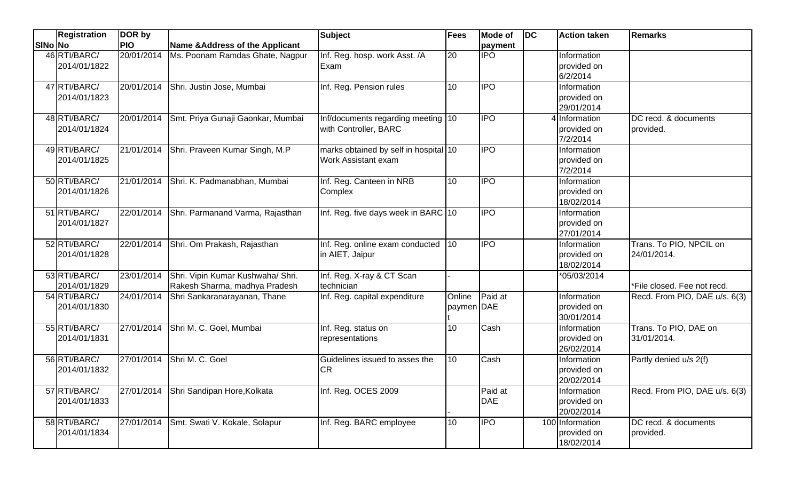|         | <b>Registration</b>          | DOR by     |                                                                    | <b>Subject</b>                                               | <b>Fees</b>          | <b>Mode of</b>        | $\overline{D}$ | <b>Action taken</b>                          | <b>Remarks</b>                         |
|---------|------------------------------|------------|--------------------------------------------------------------------|--------------------------------------------------------------|----------------------|-----------------------|----------------|----------------------------------------------|----------------------------------------|
| SINo No |                              | <b>PIO</b> | Name & Address of the Applicant                                    |                                                              |                      | payment               |                |                                              |                                        |
|         | 46 RTI/BARC/<br>2014/01/1822 | 20/01/2014 | Ms. Poonam Ramdas Ghate, Nagpur                                    | Inf. Reg. hosp. work Asst. /A<br>Exam                        | 20                   | <b>IPO</b>            |                | Information<br>provided on<br>6/2/2014       |                                        |
|         | 47 RTI/BARC/<br>2014/01/1823 | 20/01/2014 | Shri. Justin Jose, Mumbai                                          | Inf. Reg. Pension rules                                      | 10 <sup>°</sup>      | <b>IPO</b>            |                | Information<br>provided on<br>29/01/2014     |                                        |
|         | 48 RTI/BARC/<br>2014/01/1824 | 20/01/2014 | Smt. Priya Gunaji Gaonkar, Mumbai                                  | Inf/documents regarding meeting 10<br>with Controller, BARC  |                      | <b>IPO</b>            |                | 4 Information<br>provided on<br>7/2/2014     | DC recd. & documents<br>provided.      |
|         | 49 RTI/BARC/<br>2014/01/1825 | 21/01/2014 | Shri. Praveen Kumar Singh, M.P                                     | marks obtained by self in hospital 10<br>Work Assistant exam |                      | <b>IPO</b>            |                | Information<br>provided on<br>7/2/2014       |                                        |
|         | 50 RTI/BARC/<br>2014/01/1826 |            | 21/01/2014 Shri. K. Padmanabhan, Mumbai                            | Inf. Reg. Canteen in NRB<br>Complex                          | 10                   | <b>IPO</b>            |                | Information<br>provided on<br>18/02/2014     |                                        |
|         | 51 RTI/BARC/<br>2014/01/1827 | 22/01/2014 | Shri. Parmanand Varma, Rajasthan                                   | Inf. Reg. five days week in BARC 10                          |                      | <b>I</b> IPO          |                | Information<br>provided on<br>27/01/2014     |                                        |
|         | 52 RTI/BARC/<br>2014/01/1828 | 22/01/2014 | Shri. Om Prakash, Rajasthan                                        | Inf. Reg. online exam conducted<br>in AIET, Jaipur           | 10                   | <b>IPO</b>            |                | Information<br>provided on<br>18/02/2014     | Trans. To PIO, NPCIL on<br>24/01/2014. |
|         | 53 RTI/BARC/<br>2014/01/1829 | 23/01/2014 | Shri. Vipin Kumar Kushwaha/ Shri.<br>Rakesh Sharma, madhya Pradesh | Inf. Reg. X-ray & CT Scan<br>technician                      |                      |                       |                | *05/03/2014                                  | *File closed. Fee not recd.            |
|         | 54 RTI/BARC/<br>2014/01/1830 | 24/01/2014 | Shri Sankaranarayanan, Thane                                       | Inf. Reg. capital expenditure                                | Online<br>paymen DAE | Paid at               |                | Information<br>provided on<br>30/01/2014     | Recd. From PIO, DAE u/s. 6(3)          |
|         | 55 RTI/BARC/<br>2014/01/1831 | 27/01/2014 | Shri M. C. Goel, Mumbai                                            | Inf. Reg. status on<br>representations                       | 10                   | Cash                  |                | Information<br>provided on<br>26/02/2014     | Trans. To PIO, DAE on<br>31/01/2014.   |
|         | 56 RTI/BARC/<br>2014/01/1832 | 27/01/2014 | Shri M. C. Goel                                                    | Guidelines issued to asses the<br><b>CR</b>                  | 10 <sup>°</sup>      | Cash                  |                | Information<br>provided on<br>20/02/2014     | Partly denied u/s 2(f)                 |
|         | 57 RTI/BARC/<br>2014/01/1833 |            | 27/01/2014 Shri Sandipan Hore, Kolkata                             | Inf. Reg. OCES 2009                                          |                      | Paid at<br><b>DAE</b> |                | Information<br>provided on<br>20/02/2014     | Recd. From PIO, DAE u/s. 6(3)          |
|         | 58 RTI/BARC/<br>2014/01/1834 |            | 27/01/2014 Smt. Swati V. Kokale, Solapur                           | Inf. Reg. BARC employee                                      | 10                   | <b>IPO</b>            |                | 100 Information<br>provided on<br>18/02/2014 | DC recd. & documents<br>provided.      |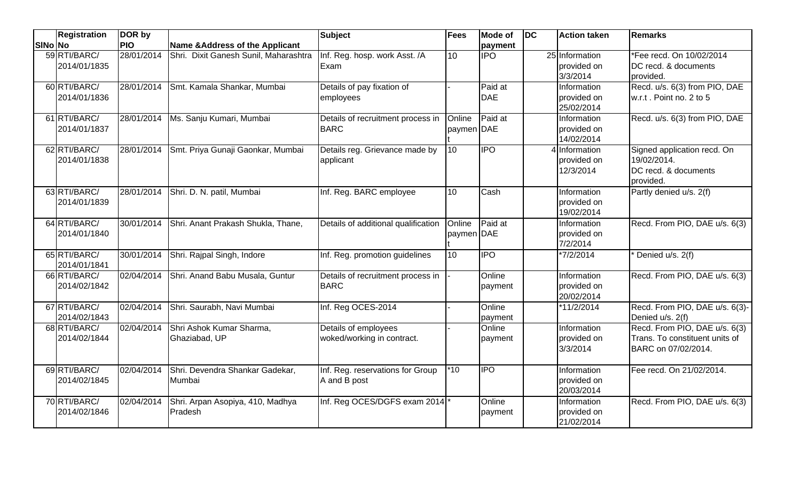|         | <b>Registration</b>          | DOR by              |                                             | <b>Subject</b>                                     | Fees                 | Mode of               | <b>IDC</b> | <b>Action taken</b>                       | Remarks                                                                                |
|---------|------------------------------|---------------------|---------------------------------------------|----------------------------------------------------|----------------------|-----------------------|------------|-------------------------------------------|----------------------------------------------------------------------------------------|
| SINo No |                              | <b>PIO</b>          | Name & Address of the Applicant             |                                                    |                      | payment               |            |                                           |                                                                                        |
|         | 59 RTI/BARC/<br>2014/01/1835 | 28/01/2014          | Shri. Dixit Ganesh Sunil, Maharashtra       | Inf. Reg. hosp. work Asst. /A<br>Exam              | 10                   | <b>IPO</b>            |            | 25 Information<br>provided on<br>3/3/2014 | *Fee recd. On 10/02/2014<br>DC recd. & documents<br>provided.                          |
|         | 60 RTI/BARC/<br>2014/01/1836 | 28/01/2014          | Smt. Kamala Shankar, Mumbai                 | Details of pay fixation of<br>employees            |                      | Paid at<br><b>DAE</b> |            | Information<br>provided on<br>25/02/2014  | Recd. u/s. 6(3) from PIO, DAE<br>w.r.t. Point no. 2 to 5                               |
|         | 61 RTI/BARC/<br>2014/01/1837 | 28/01/2014          | Ms. Sanju Kumari, Mumbai                    | Details of recruitment process in<br><b>BARC</b>   | Online<br>paymen DAE | Paid at               |            | Information<br>provided on<br>14/02/2014  | Recd. u/s. 6(3) from PIO, DAE                                                          |
|         | 62 RTI/BARC/<br>2014/01/1838 | 28/01/2014          | Smt. Priya Gunaji Gaonkar, Mumbai           | Details reg. Grievance made by<br>applicant        | 10                   | <b>IPO</b>            |            | 4 Information<br>provided on<br>12/3/2014 | Signed application recd. On<br>19/02/2014.<br>DC recd. & documents<br>provided.        |
|         | 63 RTI/BARC/<br>2014/01/1839 | 28/01/2014          | Shri. D. N. patil, Mumbai                   | Inf. Reg. BARC employee                            | $\overline{10}$      | Cash                  |            | Information<br>provided on<br>19/02/2014  | Partly denied u/s. 2(f)                                                                |
|         | 64 RTI/BARC/<br>2014/01/1840 | 30/01/2014          | Shri. Anant Prakash Shukla, Thane,          | Details of additional qualification                | Online<br>paymen DAE | Paid at               |            | Information<br>provided on<br>7/2/2014    | Recd. From PIO, DAE u/s. 6(3)                                                          |
|         | 65 RTI/BARC/<br>2014/01/1841 | 30/01/2014          | Shri. Rajpal Singh, Indore                  | Inf. Reg. promotion guidelines                     | 10                   | <b>IPO</b>            |            | *7/2/2014                                 | Denied u/s. 2(f)                                                                       |
|         | 66 RTI/BARC/<br>2014/02/1842 | $\sqrt{02}/04/2014$ | Shri. Anand Babu Musala, Guntur             | Details of recruitment process in<br><b>BARC</b>   |                      | Online<br>payment     |            | Information<br>provided on<br>20/02/2014  | Recd. From PIO, DAE u/s. 6(3)                                                          |
|         | 67 RTI/BARC/<br>2014/02/1843 | 02/04/2014          | Shri. Saurabh, Navi Mumbai                  | Inf. Reg OCES-2014                                 |                      | Online<br>payment     |            | *11/2/2014                                | Recd. From PIO, DAE u/s. 6(3)-<br>Denied u/s. 2(f)                                     |
|         | 68 RTI/BARC/<br>2014/02/1844 | 02/04/2014          | Shri Ashok Kumar Sharma,<br>Ghaziabad, UP   | Details of employees<br>woked/working in contract. |                      | Online<br>payment     |            | Information<br>provided on<br>3/3/2014    | Recd. From PIO, DAE u/s. 6(3)<br>Trans. To constituent units of<br>BARC on 07/02/2014. |
|         | 69 RTI/BARC/<br>2014/02/1845 | 02/04/2014          | Shri. Devendra Shankar Gadekar,<br>Mumbai   | Inf. Reg. reservations for Group<br>A and B post   | $*10$                | <b>IPO</b>            |            | Information<br>provided on<br>20/03/2014  | Fee recd. On 21/02/2014.                                                               |
|         | 70 RTI/BARC/<br>2014/02/1846 | 02/04/2014          | Shri. Arpan Asopiya, 410, Madhya<br>Pradesh | Inf. Reg OCES/DGFS exam 2014 <sup>*</sup>          |                      | Online<br>payment     |            | Information<br>provided on<br>21/02/2014  | Recd. From PIO, DAE u/s. 6(3)                                                          |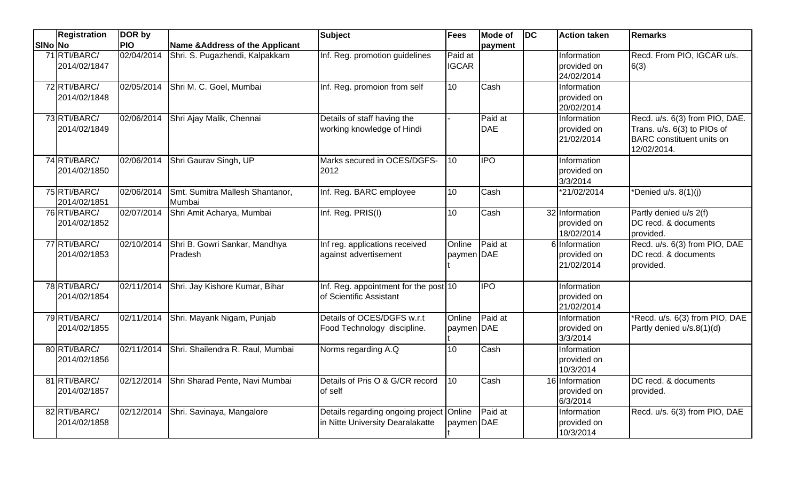|         | Registration                 | DOR by                  |                                           | <b>Subject</b>                                                               | <b>Fees</b>             | Mode of               | $1DC$ | <b>Action taken</b>                         | <b>Remarks</b>                                                                                                   |
|---------|------------------------------|-------------------------|-------------------------------------------|------------------------------------------------------------------------------|-------------------------|-----------------------|-------|---------------------------------------------|------------------------------------------------------------------------------------------------------------------|
| SINo No |                              | <b>PIO</b>              | Name & Address of the Applicant           |                                                                              |                         | payment               |       |                                             |                                                                                                                  |
|         | 71 RTI/BARC/<br>2014/02/1847 | 02/04/2014              | Shri. S. Pugazhendi, Kalpakkam            | Inf. Reg. promotion guidelines                                               | Paid at<br><b>IGCAR</b> |                       |       | Information<br>provided on<br>24/02/2014    | Recd. From PIO, IGCAR u/s.<br>6(3)                                                                               |
|         | 72 RTI/BARC/<br>2014/02/1848 | 02/05/2014              | Shri M. C. Goel, Mumbai                   | Inf. Reg. promoion from self                                                 | 10                      | Cash                  |       | Information<br>provided on<br>20/02/2014    |                                                                                                                  |
|         | 73 RTI/BARC/<br>2014/02/1849 | 02/06/2014              | Shri Ajay Malik, Chennai                  | Details of staff having the<br>working knowledge of Hindi                    |                         | Paid at<br><b>DAE</b> |       | Information<br>provided on<br>21/02/2014    | Recd. u/s. 6(3) from PIO, DAE.<br>Trans. u/s. 6(3) to PIOs of<br><b>BARC</b> constituent units on<br>12/02/2014. |
|         | 74 RTI/BARC/<br>2014/02/1850 |                         | 02/06/2014 Shri Gaurav Singh, UP          | Marks secured in OCES/DGFS-<br>2012                                          | 10                      | <b>I</b> IPO          |       | Information<br>provided on<br>3/3/2014      |                                                                                                                  |
|         | 75 RTI/BARC/<br>2014/02/1851 | 02/06/2014              | Smt. Sumitra Mallesh Shantanor,<br>Mumbai | Inf. Reg. BARC employee                                                      | 10                      | Cash                  |       | *21/02/2014                                 | *Denied $u/s. 8(1)(i)$                                                                                           |
|         | 76 RTI/BARC/<br>2014/02/1852 | 02/07/2014              | Shri Amit Acharya, Mumbai                 | Inf. Reg. PRIS(I)                                                            | 10                      | Cash                  |       | 32 Information<br>provided on<br>18/02/2014 | Partly denied u/s 2(f)<br>DC recd. & documents<br>provided.                                                      |
|         | 77 RTI/BARC/<br>2014/02/1853 | 02/10/2014              | Shri B. Gowri Sankar, Mandhya<br>Pradesh  | Inf reg. applications received<br>against advertisement                      | Online<br>paymen DAE    | Paid at               |       | 6 Information<br>provided on<br>21/02/2014  | Recd. u/s. 6(3) from PIO, DAE<br>DC recd. & documents<br>provided.                                               |
|         | 78 RTI/BARC/<br>2014/02/1854 |                         | 02/11/2014 Shri. Jay Kishore Kumar, Bihar | Inf. Reg. appointment for the post 10<br>of Scientific Assistant             |                         | <b>IPO</b>            |       | Information<br>provided on<br>21/02/2014    |                                                                                                                  |
|         | 79 RTI/BARC/<br>2014/02/1855 | $\overline{02/11/2014}$ | Shri. Mayank Nigam, Punjab                | Details of OCES/DGFS w.r.t<br>Food Technology discipline.                    | Online<br>paymen DAE    | Paid at               |       | Information<br>provided on<br>3/3/2014      | *Recd. u/s. 6(3) from PIO, DAE<br>Partly denied u/s.8(1)(d)                                                      |
|         | 80 RTI/BARC/<br>2014/02/1856 | $\sqrt{02}/11/2014$     | Shri. Shailendra R. Raul, Mumbai          | Norms regarding A.Q                                                          | $\overline{10}$         | Cash                  |       | Information<br>provided on<br>10/3/2014     |                                                                                                                  |
|         | 81 RTI/BARC/<br>2014/02/1857 |                         | 02/12/2014 Shri Sharad Pente, Navi Mumbai | Details of Pris O & G/CR record<br>of self                                   | 10                      | Cash                  |       | 16 Information<br>provided on<br>6/3/2014   | DC recd. & documents<br>provided.                                                                                |
|         | 82 RTI/BARC/<br>2014/02/1858 |                         | 02/12/2014 Shri. Savinaya, Mangalore      | Details regarding ongoing project Online<br>in Nitte University Dearalakatte | paymen DAE              | Paid at               |       | Information<br>provided on<br>10/3/2014     | Recd. u/s. 6(3) from PIO, DAE                                                                                    |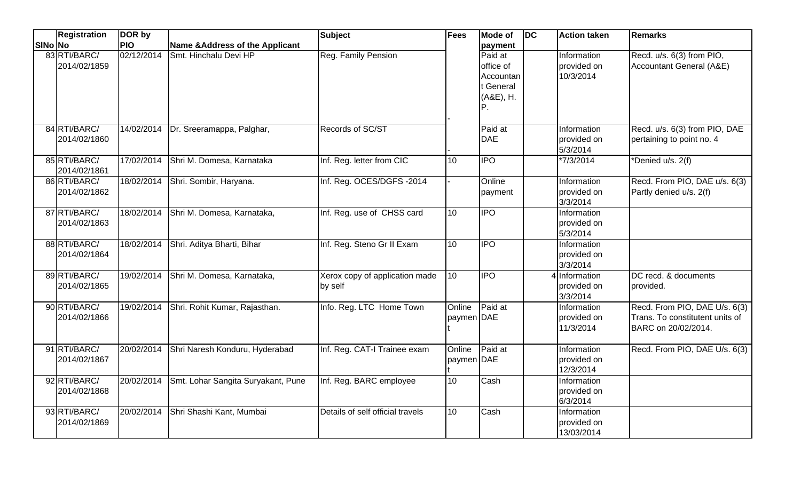|         | <b>Registration</b>          | DOR by     |                                            | <b>Subject</b>                            | Fees                 | Mode of                                                           | <b>DC</b> | <b>Action taken</b>                      | <b>Remarks</b>                                                                          |
|---------|------------------------------|------------|--------------------------------------------|-------------------------------------------|----------------------|-------------------------------------------------------------------|-----------|------------------------------------------|-----------------------------------------------------------------------------------------|
| SINo No |                              | <b>PIO</b> | <b>Name &amp; Address of the Applicant</b> |                                           |                      | payment                                                           |           |                                          |                                                                                         |
|         | 83 RTI/BARC/<br>2014/02/1859 | 02/12/2014 | Smt. Hinchalu Devi HP                      | Reg. Family Pension                       |                      | Paid at<br>office of<br>Accountan<br>t General<br>(A&E), H.<br>Ρ. |           | Information<br>provided on<br>10/3/2014  | Recd. u/s. 6(3) from PIO,<br>Accountant General (A&E)                                   |
|         | 84 RTI/BARC/<br>2014/02/1860 | 14/02/2014 | Dr. Sreeramappa, Palghar,                  | Records of SC/ST                          |                      | Paid at<br><b>DAE</b>                                             |           | Information<br>provided on<br>5/3/2014   | Recd. u/s. 6(3) from PIO, DAE<br>pertaining to point no. 4                              |
|         | 85 RTI/BARC/<br>2014/02/1861 | 17/02/2014 | Shri M. Domesa, Karnataka                  | Inf. Reg. letter from CIC                 | 10                   | <b>IPO</b>                                                        |           | *7/3/2014                                | *Denied u/s. 2(f)                                                                       |
|         | 86 RTI/BARC/<br>2014/02/1862 | 18/02/2014 | Shri. Sombir, Haryana.                     | Inf. Reg. OCES/DGFS -2014                 |                      | Online<br>payment                                                 |           | Information<br>provided on<br>3/3/2014   | Recd. From PIO, DAE u/s. 6(3)<br>Partly denied u/s. 2(f)                                |
|         | 87 RTI/BARC/<br>2014/02/1863 | 18/02/2014 | Shri M. Domesa, Karnataka,                 | Inf. Reg. use of CHSS card                | 10                   | <b>IPO</b>                                                        |           | Information<br>provided on<br>5/3/2014   |                                                                                         |
|         | 88 RTI/BARC/<br>2014/02/1864 | 18/02/2014 | Shri. Aditya Bharti, Bihar                 | Inf. Reg. Steno Gr II Exam                | 10 <sup>°</sup>      | <b>IPO</b>                                                        |           | Information<br>provided on<br>3/3/2014   |                                                                                         |
|         | 89 RTI/BARC/<br>2014/02/1865 | 19/02/2014 | Shri M. Domesa, Karnataka,                 | Xerox copy of application made<br>by self | 10                   | <b>IPO</b>                                                        |           | 4 Information<br>provided on<br>3/3/2014 | DC recd. & documents<br>provided.                                                       |
|         | 90 RTI/BARC/<br>2014/02/1866 | 19/02/2014 | Shri. Rohit Kumar, Rajasthan.              | Info. Reg. LTC Home Town                  | Online<br>paymen DAE | Paid at                                                           |           | Information<br>provided on<br>11/3/2014  | Recd. From PIO, DAE U/s. 6(3)<br>Trans. To constitutent units of<br>BARC on 20/02/2014. |
|         | 91 RTI/BARC/<br>2014/02/1867 | 20/02/2014 | Shri Naresh Konduru, Hyderabad             | Inf. Reg. CAT-I Trainee exam              | Online<br>paymen DAE | Paid at                                                           |           | Information<br>provided on<br>12/3/2014  | Recd. From PIO, DAE U/s. 6(3)                                                           |
|         | 92 RTI/BARC/<br>2014/02/1868 | 20/02/2014 | Smt. Lohar Sangita Suryakant, Pune         | Inf. Reg. BARC employee                   | 10                   | Cash                                                              |           | Information<br>provided on<br>6/3/2014   |                                                                                         |
|         | 93 RTI/BARC/<br>2014/02/1869 | 20/02/2014 | Shri Shashi Kant, Mumbai                   | Details of self official travels          | $\overline{10}$      | Cash                                                              |           | Information<br>provided on<br>13/03/2014 |                                                                                         |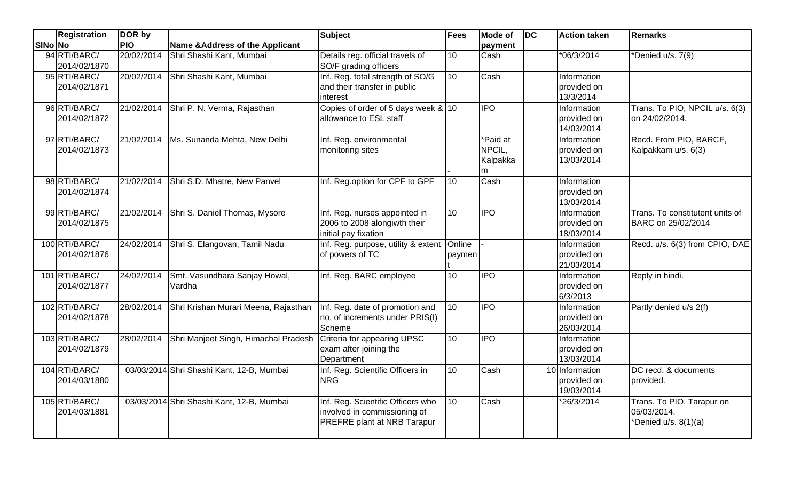|         | <b>Registration</b>           | DOR by     |                                           | <b>Subject</b>                                                                                   | <b>Fees</b>      | <b>Mode of</b>                      | DC | <b>Action taken</b>                         | <b>Remarks</b>                                                     |
|---------|-------------------------------|------------|-------------------------------------------|--------------------------------------------------------------------------------------------------|------------------|-------------------------------------|----|---------------------------------------------|--------------------------------------------------------------------|
| SINo No |                               | <b>PIO</b> | <b>Name &amp;Address of the Applicant</b> |                                                                                                  |                  | payment                             |    |                                             |                                                                    |
|         | 94 RTI/BARC/<br>2014/02/1870  | 20/02/2014 | Shri Shashi Kant, Mumbai                  | Details reg. official travels of<br>SO/F grading officers                                        | 10               | Cash                                |    | *06/3/2014                                  | *Denied u/s. 7(9)                                                  |
|         | 95 RTI/BARC/<br>2014/02/1871  | 20/02/2014 | Shri Shashi Kant, Mumbai                  | Inf. Reg. total strength of SO/G<br>and their transfer in public<br>interest                     | 10               | Cash                                |    | Information<br>provided on<br>13/3/2014     |                                                                    |
|         | 96 RTI/BARC/<br>2014/02/1872  | 21/02/2014 | Shri P. N. Verma, Rajasthan               | Copies of order of 5 days week & 10<br>allowance to ESL staff                                    |                  | <b>IPO</b>                          |    | Information<br>provided on<br>14/03/2014    | Trans. To PIO, NPCIL u/s. 6(3)<br>on 24/02/2014.                   |
|         | 97 RTI/BARC/<br>2014/02/1873  | 21/02/2014 | Ms. Sunanda Mehta, New Delhi              | Inf. Reg. environmental<br>monitoring sites                                                      |                  | *Paid at<br>NPCIL,<br>Kalpakka<br>m |    | Information<br>provided on<br>13/03/2014    | Recd. From PIO, BARCF,<br>Kalpakkam u/s. 6(3)                      |
|         | 98 RTI/BARC/<br>2014/02/1874  | 21/02/2014 | Shri S.D. Mhatre, New Panvel              | Inf. Reg.option for CPF to GPF                                                                   | 10               | Cash                                |    | Information<br>provided on<br>13/03/2014    |                                                                    |
|         | 99 RTI/BARC/<br>2014/02/1875  | 21/02/2014 | Shri S. Daniel Thomas, Mysore             | Inf. Reg. nurses appointed in<br>2006 to 2008 alongiwth their<br>initial pay fixation            | 10               | <b>IPO</b>                          |    | Information<br>provided on<br>18/03/2014    | Trans. To constitutent units of<br>BARC on 25/02/2014              |
|         | 100 RTI/BARC/<br>2014/02/1876 | 24/02/2014 | Shri S. Elangovan, Tamil Nadu             | Inf. Reg. purpose, utility & extent<br>of powers of TC                                           | Online<br>paymen |                                     |    | Information<br>provided on<br>21/03/2014    | Recd. u/s. 6(3) from CPIO, DAE                                     |
|         | 101 RTI/BARC/<br>2014/02/1877 | 24/02/2014 | Smt. Vasundhara Sanjay Howal,<br>Vardha   | Inf. Reg. BARC employee                                                                          | $\overline{10}$  | <b>IPO</b>                          |    | Information<br>provided on<br>6/3/2013      | Reply in hindi.                                                    |
|         | 102 RTI/BARC/<br>2014/02/1878 | 28/02/2014 | Shri Krishan Murari Meena, Rajasthan      | Inf. Reg. date of promotion and<br>no. of increments under PRIS(I)<br>Scheme                     | 10               | <b>IPO</b>                          |    | Information<br>provided on<br>26/03/2014    | Partly denied u/s 2(f)                                             |
|         | 103RTI/BARC/<br>2014/02/1879  | 28/02/2014 | Shri Manjeet Singh, Himachal Pradesh      | Criteria for appearing UPSC<br>exam after joining the<br>Department                              | 10               | <b>IPO</b>                          |    | Information<br>provided on<br>13/03/2014    |                                                                    |
|         | 104 RTI/BARC/<br>2014/03/1880 |            | 03/03/2014 Shri Shashi Kant, 12-B, Mumbai | Inf. Reg. Scientific Officers in<br><b>NRG</b>                                                   | 10               | Cash                                |    | 10 Information<br>provided on<br>19/03/2014 | DC recd. & documents<br>provided.                                  |
|         | 105 RTI/BARC/<br>2014/03/1881 |            | 03/03/2014 Shri Shashi Kant, 12-B, Mumbai | Inf. Reg. Scientific Officers who<br>involved in commissioning of<br>PREFRE plant at NRB Tarapur | 10               | Cash                                |    | *26/3/2014                                  | Trans. To PIO, Tarapur on<br>05/03/2014.<br>*Denied $u/s. 8(1)(a)$ |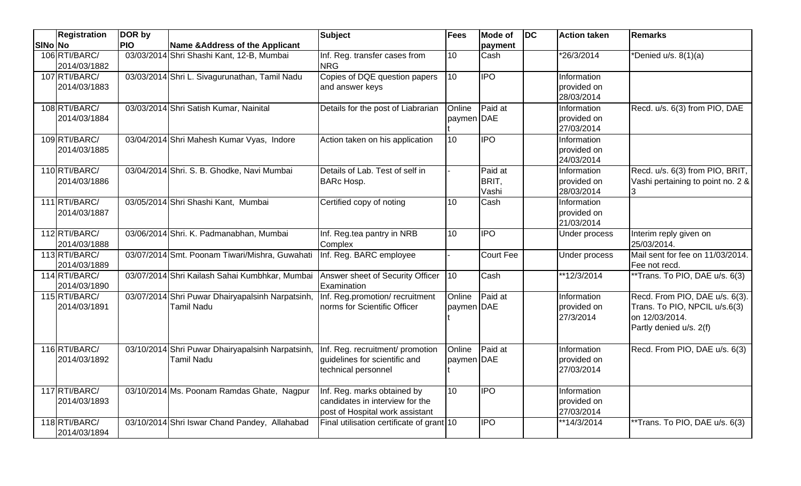|         | <b>Registration</b>           | DOR by     |                                                                       | Subject                                                                                           | <b>Fees</b>          | Mode of                   | DC | <b>Action taken</b>                      | <b>Remarks</b>                                                                                               |
|---------|-------------------------------|------------|-----------------------------------------------------------------------|---------------------------------------------------------------------------------------------------|----------------------|---------------------------|----|------------------------------------------|--------------------------------------------------------------------------------------------------------------|
| SINo No |                               | <b>PIO</b> | Name & Address of the Applicant                                       |                                                                                                   |                      | payment                   |    |                                          |                                                                                                              |
|         | 106 RTI/BARC/<br>2014/03/1882 |            | 03/03/2014 Shri Shashi Kant, 12-B, Mumbai                             | Inf. Reg. transfer cases from<br><b>NRG</b>                                                       | 10 <sup>1</sup>      | Cash                      |    | *26/3/2014                               | *Denied u/s. 8(1)(a)                                                                                         |
|         | 107 RTI/BARC/<br>2014/03/1883 |            | 03/03/2014 Shri L. Sivagurunathan, Tamil Nadu                         | Copies of DQE question papers<br>and answer keys                                                  | 10                   | <b>IPO</b>                |    | Information<br>provided on<br>28/03/2014 |                                                                                                              |
|         | 108 RTI/BARC/<br>2014/03/1884 |            | 03/03/2014 Shri Satish Kumar, Nainital                                | Details for the post of Liabrarian                                                                | Online<br>paymen DAE | Paid at                   |    | Information<br>provided on<br>27/03/2014 | Recd. u/s. 6(3) from PIO, DAE                                                                                |
|         | 109 RTI/BARC/<br>2014/03/1885 |            | 03/04/2014 Shri Mahesh Kumar Vyas, Indore                             | Action taken on his application                                                                   | $\overline{10}$      | <b>IPO</b>                |    | Information<br>provided on<br>24/03/2014 |                                                                                                              |
|         | 110RTI/BARC/<br>2014/03/1886  |            | 03/04/2014 Shri. S. B. Ghodke, Navi Mumbai                            | Details of Lab. Test of self in<br><b>BARc Hosp.</b>                                              |                      | Paid at<br>BRIT,<br>Vashi |    | Information<br>provided on<br>28/03/2014 | Recd. u/s. 6(3) from PIO, BRIT,<br>Vashi pertaining to point no. 2 &                                         |
|         | 111 RTI/BARC/<br>2014/03/1887 |            | 03/05/2014 Shri Shashi Kant, Mumbai                                   | Certified copy of noting                                                                          | 10 <sup>1</sup>      | Cash                      |    | Information<br>provided on<br>21/03/2014 |                                                                                                              |
|         | 112 RTI/BARC/<br>2014/03/1888 |            | 03/06/2014 Shri. K. Padmanabhan, Mumbai                               | Inf. Reg.tea pantry in NRB<br>Complex                                                             | 10                   | <b>IPO</b>                |    | Under process                            | Interim reply given on<br>25/03/2014.                                                                        |
|         | 113RTI/BARC/<br>2014/03/1889  |            | 03/07/2014 Smt. Poonam Tiwari/Mishra, Guwahati                        | Inf. Reg. BARC employee                                                                           |                      | <b>Court Fee</b>          |    | Under process                            | Mail sent for fee on 11/03/2014.<br>Fee not recd.                                                            |
|         | 114 RTI/BARC/<br>2014/03/1890 |            | 03/07/2014 Shri Kailash Sahai Kumbhkar, Mumbai                        | Answer sheet of Security Officer<br>Examination                                                   | 10                   | Cash                      |    | **12/3/2014                              | **Trans. To PIO, DAE u/s. 6(3)                                                                               |
|         | 115RTI/BARC/<br>2014/03/1891  |            | 03/07/2014 Shri Puwar Dhairyapalsinh Narpatsinh,<br><b>Tamil Nadu</b> | Inf. Reg.promotion/ recruitment<br>norms for Scientific Officer                                   | Online<br>paymen DAE | Paid at                   |    | Information<br>provided on<br>27/3/2014  | Recd. From PIO, DAE u/s. 6(3).<br>Trans. To PIO, NPCIL u/s.6(3)<br>on 12/03/2014.<br>Partly denied u/s. 2(f) |
|         | 116 RTI/BARC/<br>2014/03/1892 |            | 03/10/2014 Shri Puwar Dhairyapalsinh Narpatsinh,<br><b>Tamil Nadu</b> | Inf. Reg. recruitment/ promotion<br>guidelines for scientific and<br>technical personnel          | Online<br>paymen DAE | Paid at                   |    | Information<br>provided on<br>27/03/2014 | Recd. From PIO, DAE u/s. 6(3)                                                                                |
|         | 117 RTI/BARC/<br>2014/03/1893 |            | 03/10/2014 Ms. Poonam Ramdas Ghate, Nagpur                            | Inf. Reg. marks obtained by<br>candidates in interview for the<br>post of Hospital work assistant | $\overline{10}$      | <b>IPO</b>                |    | Information<br>provided on<br>27/03/2014 |                                                                                                              |
|         | 118 RTI/BARC/<br>2014/03/1894 |            | 03/10/2014 Shri Iswar Chand Pandey, Allahabad                         | Final utilisation certificate of grant 10                                                         |                      | <b>IPO</b>                |    | **14/3/2014                              | **Trans. To PIO, DAE u/s. 6(3)                                                                               |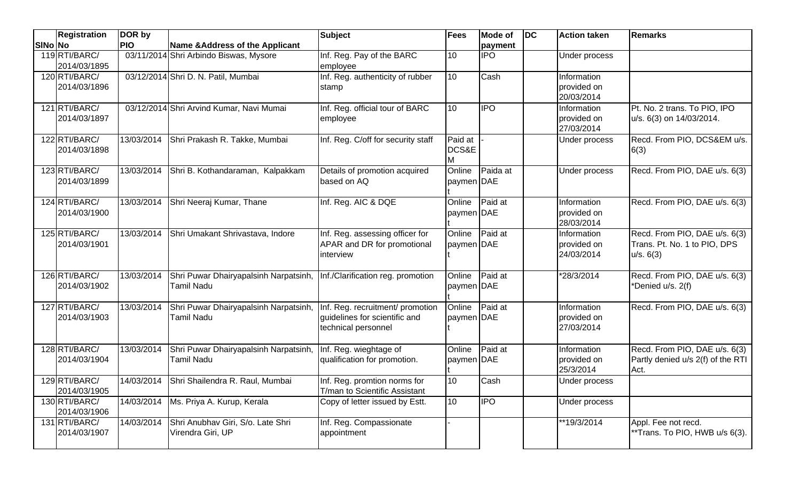|         | <b>Registration</b>           | DOR by     |                                                            | <b>Subject</b>                                                                           | <b>Fees</b>           | <b>Mode of</b> | DC | <b>Action taken</b>                      | <b>Remarks</b>                                                             |
|---------|-------------------------------|------------|------------------------------------------------------------|------------------------------------------------------------------------------------------|-----------------------|----------------|----|------------------------------------------|----------------------------------------------------------------------------|
| SINo No |                               | <b>PIO</b> | <b>Name &amp;Address of the Applicant</b>                  |                                                                                          |                       | payment        |    |                                          |                                                                            |
|         | 119RTI/BARC/<br>2014/03/1895  |            | 03/11/2014 Shri Arbindo Biswas, Mysore                     | Inf. Reg. Pay of the BARC<br>employee                                                    | 10                    | <b>IPO</b>     |    | <b>Under process</b>                     |                                                                            |
|         | 120 RTI/BARC/<br>2014/03/1896 |            | 03/12/2014 Shri D. N. Patil, Mumbai                        | Inf. Reg. authenticity of rubber<br>stamp                                                | 10                    | Cash           |    | Information<br>provided on<br>20/03/2014 |                                                                            |
|         | 121 RTI/BARC/<br>2014/03/1897 |            | 03/12/2014 Shri Arvind Kumar, Navi Mumai                   | Inf. Reg. official tour of BARC<br>employee                                              | 10                    | <b>IPO</b>     |    | Information<br>provided on<br>27/03/2014 | Pt. No. 2 trans. To PIO, IPO<br>u/s. 6(3) on 14/03/2014.                   |
|         | 122 RTI/BARC/<br>2014/03/1898 | 13/03/2014 | Shri Prakash R. Takke, Mumbai                              | Inf. Reg. C/off for security staff                                                       | Paid at<br>DCS&E<br>м |                |    | Under process                            | Recd. From PIO, DCS&EM u/s.<br>6(3)                                        |
|         | 123RTI/BARC/<br>2014/03/1899  | 13/03/2014 | Shri B. Kothandaraman, Kalpakkam                           | Details of promotion acquired<br>based on AQ                                             | Online<br>paymen DAE  | Paida at       |    | Under process                            | Recd. From PIO, DAE u/s. 6(3)                                              |
|         | 124 RTI/BARC/<br>2014/03/1900 | 13/03/2014 | Shri Neeraj Kumar, Thane                                   | Inf. Reg. AIC & DQE                                                                      | Online<br>paymen DAE  | Paid at        |    | Information<br>provided on<br>28/03/2014 | Recd. From PIO, DAE u/s. 6(3)                                              |
|         | 125 RTI/BARC/<br>2014/03/1901 | 13/03/2014 | Shri Umakant Shrivastava, Indore                           | Inf. Reg. assessing officer for<br>APAR and DR for promotional<br>interview              | Online<br>paymen DAE  | Paid at        |    | Information<br>provided on<br>24/03/2014 | Recd. From PIO, DAE u/s. 6(3)<br>Trans. Pt. No. 1 to PIO, DPS<br>u/s. 6(3) |
|         | 126 RTI/BARC/<br>2014/03/1902 | 13/03/2014 | Shri Puwar Dhairyapalsinh Narpatsinh,<br><b>Tamil Nadu</b> | Inf./Clarification reg. promotion                                                        | Online<br>paymen DAE  | Paid at        |    | *28/3/2014                               | Recd. From PIO, DAE u/s. 6(3)<br>*Denied u/s. 2(f)                         |
|         | 127 RTI/BARC/<br>2014/03/1903 | 13/03/2014 | Shri Puwar Dhairyapalsinh Narpatsinh,<br><b>Tamil Nadu</b> | Inf. Reg. recruitment/ promotion<br>quidelines for scientific and<br>technical personnel | Online<br>paymen DAE  | Paid at        |    | Information<br>provided on<br>27/03/2014 | Recd. From PIO, DAE u/s. 6(3)                                              |
|         | 128 RTI/BARC/<br>2014/03/1904 | 13/03/2014 | Shri Puwar Dhairyapalsinh Narpatsinh,<br><b>Tamil Nadu</b> | Inf. Reg. wieghtage of<br>qualification for promotion.                                   | Online<br>paymen DAE  | Paid at        |    | Information<br>provided on<br>25/3/2014  | Recd. From PIO, DAE u/s. 6(3)<br>Partly denied u/s 2(f) of the RTI<br>Act. |
|         | 129 RTI/BARC/<br>2014/03/1905 |            | 14/03/2014 Shri Shailendra R. Raul. Mumbai                 | Inf. Reg. promtion norms for<br>T/man to Scientific Assistant                            | 10                    | <b>Cash</b>    |    | <b>Under process</b>                     |                                                                            |
|         | 130 RTI/BARC/<br>2014/03/1906 | 14/03/2014 | Ms. Priya A. Kurup, Kerala                                 | Copy of letter issued by Estt.                                                           | 10 <sup>1</sup>       | <b>IPO</b>     |    | Under process                            |                                                                            |
|         | 131 RTI/BARC/<br>2014/03/1907 | 14/03/2014 | Shri Anubhav Giri, S/o. Late Shri<br>Virendra Giri, UP     | Inf. Reg. Compassionate<br>appointment                                                   |                       |                |    | **19/3/2014                              | Appl. Fee not recd.<br>**Trans. To PIO, HWB u/s 6(3).                      |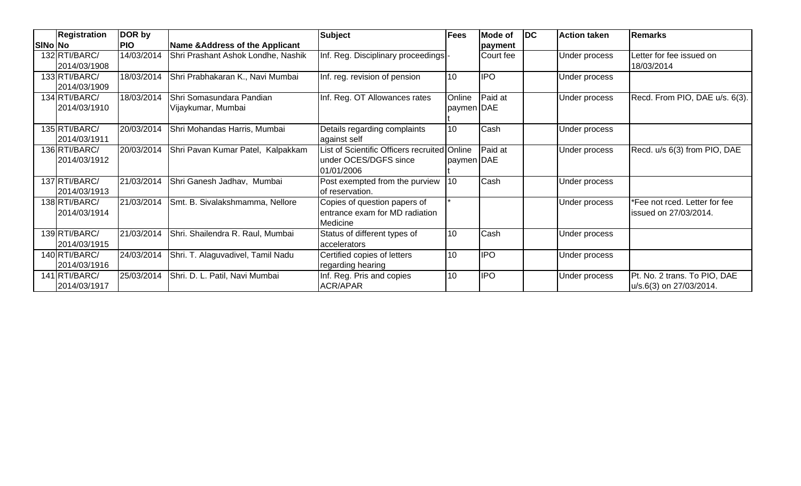|         | <b>Registration</b> | DOR by     |                                              | <b>Subject</b>                               | <b>Fees</b> | Mode of    | $\overline{\mathsf{D}}$ | <b>Action taken</b>  | Remarks                                   |
|---------|---------------------|------------|----------------------------------------------|----------------------------------------------|-------------|------------|-------------------------|----------------------|-------------------------------------------|
| SINo No |                     | <b>PIO</b> | Name & Address of the Applicant              |                                              |             | payment    |                         |                      |                                           |
|         | 132 RTI/BARC/       | 14/03/2014 | Shri Prashant Ashok Londhe, Nashik           | Inf. Reg. Disciplinary proceedings -         |             | Court fee  |                         | <b>Under process</b> | Letter for fee issued on                  |
|         | 2014/03/1908        |            |                                              |                                              |             |            |                         |                      | 18/03/2014                                |
|         | 133RTI/BARC/        |            | 18/03/2014 Shri Prabhakaran K., Navi Mumbai  | Inf. reg. revision of pension                | 10          | <b>IPO</b> |                         | <b>Under process</b> |                                           |
|         | 2014/03/1909        |            |                                              |                                              |             |            |                         |                      |                                           |
|         | 134 RTI/BARC/       | 18/03/2014 | Shri Somasundara Pandian                     | Inf. Reg. OT Allowances rates                | Online      | Paid at    |                         | <b>Under process</b> | Recd. From PIO, DAE u/s. 6(3).            |
|         | 2014/03/1910        |            | Vijaykumar, Mumbai                           |                                              | paymen DAE  |            |                         |                      |                                           |
|         |                     |            |                                              |                                              |             |            |                         |                      |                                           |
|         | 135 RTI/BARC/       | 20/03/2014 | Shri Mohandas Harris, Mumbai                 | Details regarding complaints                 | 10          | Cash       |                         | <b>Under process</b> |                                           |
|         | 2014/03/1911        |            |                                              | against self                                 |             |            |                         |                      |                                           |
|         | 136 RTI/BARC/       | 20/03/2014 | Shri Pavan Kumar Patel, Kalpakkam            | List of Scientific Officers recruited Online |             | Paid at    |                         | <b>Under process</b> | Recd. u/s 6(3) from PIO, DAE              |
|         | 2014/03/1912        |            |                                              | under OCES/DGFS since                        | paymen DAE  |            |                         |                      |                                           |
|         |                     |            |                                              | 01/01/2006                                   |             |            |                         |                      |                                           |
|         | 137 RTI/BARC/       | 21/03/2014 | Shri Ganesh Jadhav, Mumbai                   | Post exempted from the purview               | $\vert$ 10  | Cash       |                         | <b>Under process</b> |                                           |
|         | 2014/03/1913        |            |                                              | of reservation.                              |             |            |                         |                      |                                           |
|         | 138 RTI/BARC/       |            | 21/03/2014 Smt. B. Sivalakshmamma, Nellore   | Copies of question papers of                 |             |            |                         | <b>Under process</b> | Fee not rced. Letter for fee <sup>*</sup> |
|         | 2014/03/1914        |            |                                              | entrance exam for MD radiation               |             |            |                         |                      | lissued on 27/03/2014.                    |
|         |                     |            |                                              | Medicine                                     |             |            |                         |                      |                                           |
|         | 139RTI/BARC/        |            | 21/03/2014 Shri. Shailendra R. Raul, Mumbai  | Status of different types of                 | 10          | Cash       |                         | <b>Under process</b> |                                           |
|         | 2014/03/1915        |            |                                              | accelerators                                 |             |            |                         |                      |                                           |
|         | 140 RTI/BARC/       |            | 24/03/2014 Shri. T. Alaguvadivel, Tamil Nadu | Certified copies of letters                  | 10          | <b>IPO</b> |                         | <b>Under process</b> |                                           |
|         | 2014/03/1916        |            |                                              | regarding hearing                            |             |            |                         |                      |                                           |
|         | 141 RTI/BARC/       |            | 25/03/2014   Shri. D. L. Patil, Navi Mumbai  | Inf. Reg. Pris and copies                    | 10          | <b>IPO</b> |                         | <b>Under process</b> | Pt. No. 2 trans. To PIO, DAE              |
|         | 2014/03/1917        |            |                                              | ACR/APAR                                     |             |            |                         |                      | u/s.6(3) on 27/03/2014.                   |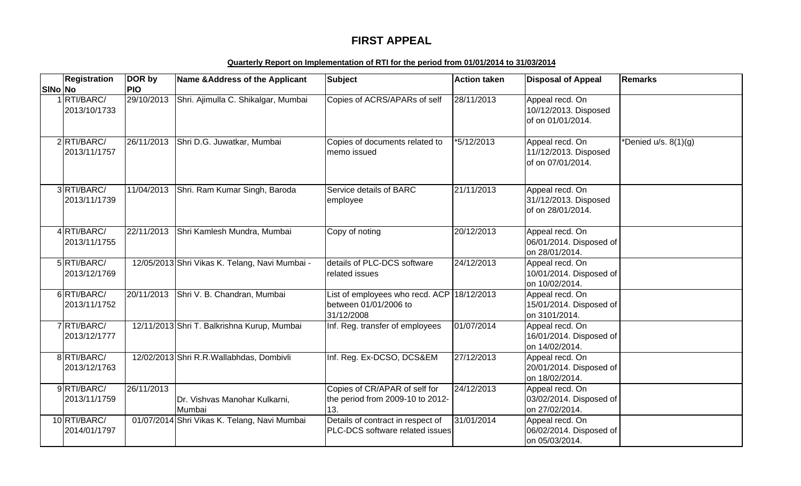# **FIRST APPEAL**

### **Quarterly Report on Implementation of RTI for the period from 01/01/2014 to 31/03/2014**

|         | <b>Registration</b>          | DOR by     | Name & Address of the Applicant                | <b>Subject</b>                                                                    | <b>Action taken</b> | <b>Disposal of Appeal</b>                                     | Remarks                |
|---------|------------------------------|------------|------------------------------------------------|-----------------------------------------------------------------------------------|---------------------|---------------------------------------------------------------|------------------------|
| SINo No |                              | <b>PIO</b> |                                                |                                                                                   |                     |                                                               |                        |
|         | 1 RTI/BARC/<br>2013/10/1733  | 29/10/2013 | Shri. Ajimulla C. Shikalgar, Mumbai            | Copies of ACRS/APARs of self                                                      | 28/11/2013          | Appeal recd. On<br>10//12/2013. Disposed<br>of on 01/01/2014. |                        |
|         | 2RTI/BARC/<br>2013/11/1757   | 26/11/2013 | Shri D.G. Juwatkar, Mumbai                     | Copies of documents related to<br>memo issued                                     | $*5/12/2013$        | Appeal recd. On<br>11//12/2013. Disposed<br>of on 07/01/2014. | *Denied u/s. $8(1)(g)$ |
|         | 3RTI/BARC/<br>2013/11/1739   | 11/04/2013 | Shri. Ram Kumar Singh, Baroda                  | Service details of BARC<br>employee                                               | 21/11/2013          | Appeal recd. On<br>31//12/2013. Disposed<br>of on 28/01/2014. |                        |
|         | 4RTI/BARC/<br>2013/11/1755   | 22/11/2013 | Shri Kamlesh Mundra, Mumbai                    | Copy of noting                                                                    | 20/12/2013          | Appeal recd. On<br>06/01/2014. Disposed of<br>on 28/01/2014.  |                        |
|         | 5RTI/BARC/<br>2013/12/1769   |            | 12/05/2013 Shri Vikas K. Telang, Navi Mumbai - | details of PLC-DCS software<br>related issues                                     | 24/12/2013          | Appeal recd. On<br>10/01/2014. Disposed of<br>on 10/02/2014.  |                        |
|         | 6RTI/BARC/<br>2013/11/1752   | 20/11/2013 | Shri V. B. Chandran, Mumbai                    | List of employees who recd. ACP 18/12/2013<br>between 01/01/2006 to<br>31/12/2008 |                     | Appeal recd. On<br>15/01/2014. Disposed of<br>on 3101/2014.   |                        |
|         | 7RTI/BARC/<br>2013/12/1777   |            | 12/11/2013 Shri T. Balkrishna Kurup, Mumbai    | Inf. Reg. transfer of employees                                                   | 01/07/2014          | Appeal recd. On<br>16/01/2014. Disposed of<br>on 14/02/2014.  |                        |
|         | 8 RTI/BARC/<br>2013/12/1763  |            | 12/02/2013 Shri R.R. Wallabhdas, Dombivli      | Inf. Reg. Ex-DCSO, DCS&EM                                                         | 27/12/2013          | Appeal recd. On<br>20/01/2014. Disposed of<br>on 18/02/2014.  |                        |
|         | 9RTI/BARC/<br>2013/11/1759   | 26/11/2013 | Dr. Vishvas Manohar Kulkarni,<br>Mumbai        | Copies of CR/APAR of self for<br>the period from 2009-10 to 2012-<br>13.          | 24/12/2013          | Appeal recd. On<br>03/02/2014. Disposed of<br>on 27/02/2014.  |                        |
|         | 10 RTI/BARC/<br>2014/01/1797 |            | 01/07/2014 Shri Vikas K. Telang, Navi Mumbai   | Details of contract in respect of<br>PLC-DCS software related issues              | 31/01/2014          | Appeal recd. On<br>06/02/2014. Disposed of<br>on 05/03/2014.  |                        |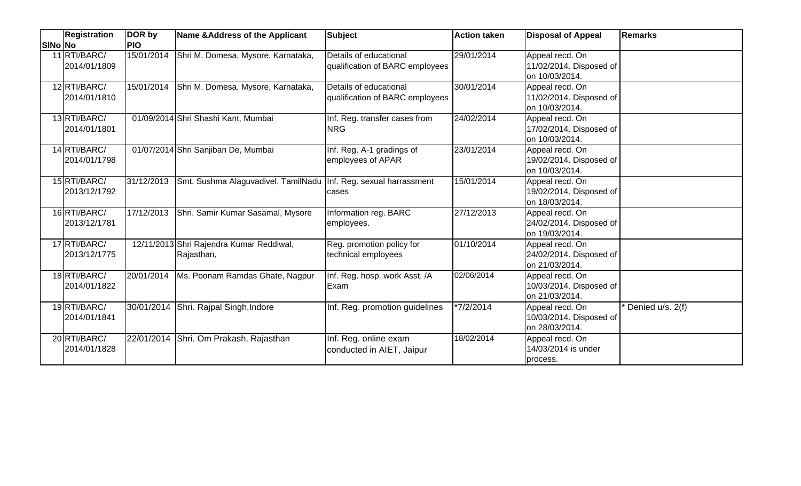| SINo No | <b>Registration</b>          | DOR by<br><b>PIO</b> | Name & Address of the Applicant                                    | <b>Subject</b>                                            | <b>Action taken</b> | <b>Disposal of Appeal</b>                                    | Remarks          |
|---------|------------------------------|----------------------|--------------------------------------------------------------------|-----------------------------------------------------------|---------------------|--------------------------------------------------------------|------------------|
|         | 11 RTI/BARC/<br>2014/01/1809 | 15/01/2014           | Shri M. Domesa, Mysore, Karnataka,                                 | Details of educational<br>qualification of BARC employees | 29/01/2014          | Appeal recd. On<br>11/02/2014. Disposed of<br>on 10/03/2014. |                  |
|         | 12RTI/BARC/<br>2014/01/1810  | 15/01/2014           | Shri M. Domesa, Mysore, Karnataka,                                 | Details of educational<br>qualification of BARC employees | 30/01/2014          | Appeal recd. On<br>11/02/2014. Disposed of<br>on 10/03/2014. |                  |
|         | 13 RTI/BARC/<br>2014/01/1801 |                      | 01/09/2014 Shri Shashi Kant, Mumbai                                | Inf. Reg. transfer cases from<br><b>NRG</b>               | 24/02/2014          | Appeal recd. On<br>17/02/2014. Disposed of<br>on 10/03/2014. |                  |
|         | 14 RTI/BARC/<br>2014/01/1798 |                      | 01/07/2014 Shri Sanjiban De, Mumbai                                | Inf. Reg. A-1 gradings of<br>employees of APAR            | 23/01/2014          | Appeal recd. On<br>19/02/2014. Disposed of<br>on 10/03/2014. |                  |
|         | 15 RTI/BARC/<br>2013/12/1792 | 31/12/2013           | Smt. Sushma Alaguvadivel, TamilNadu   Inf. Reg. sexual harrassment | cases                                                     | 15/01/2014          | Appeal recd. On<br>19/02/2014. Disposed of<br>on 18/03/2014. |                  |
|         | 16 RTI/BARC/<br>2013/12/1781 | 17/12/2013           | Shri. Samir Kumar Sasamal, Mysore                                  | Information reg. BARC<br>employees.                       | 27/12/2013          | Appeal recd. On<br>24/02/2014. Disposed of<br>on 19/03/2014. |                  |
|         | 17 RTI/BARC/<br>2013/12/1775 |                      | 12/11/2013 Shri Rajendra Kumar Reddiwal,<br>Rajasthan,             | Reg. promotion policy for<br>technical employees          | 01/10/2014          | Appeal recd. On<br>24/02/2014. Disposed of<br>on 21/03/2014. |                  |
|         | 18 RTI/BARC/<br>2014/01/1822 | 20/01/2014           | Ms. Poonam Ramdas Ghate, Nagpur                                    | Inf. Reg. hosp. work Asst. /A<br>Exam                     | 02/06/2014          | Appeal recd. On<br>10/03/2014. Disposed of<br>on 21/03/2014. |                  |
|         | 19 RTI/BARC/<br>2014/01/1841 | 30/01/2014           | Shri. Rajpal Singh, Indore                                         | Inf. Reg. promotion guidelines                            | *7/2/2014           | Appeal recd. On<br>10/03/2014. Disposed of<br>on 28/03/2014. | Denied u/s. 2(f) |
|         | 20 RTI/BARC/<br>2014/01/1828 | 22/01/2014           | Shri. Om Prakash, Rajasthan                                        | Inf. Reg. online exam<br>conducted in AIET, Jaipur        | 18/02/2014          | Appeal recd. On<br>14/03/2014 is under<br>process.           |                  |